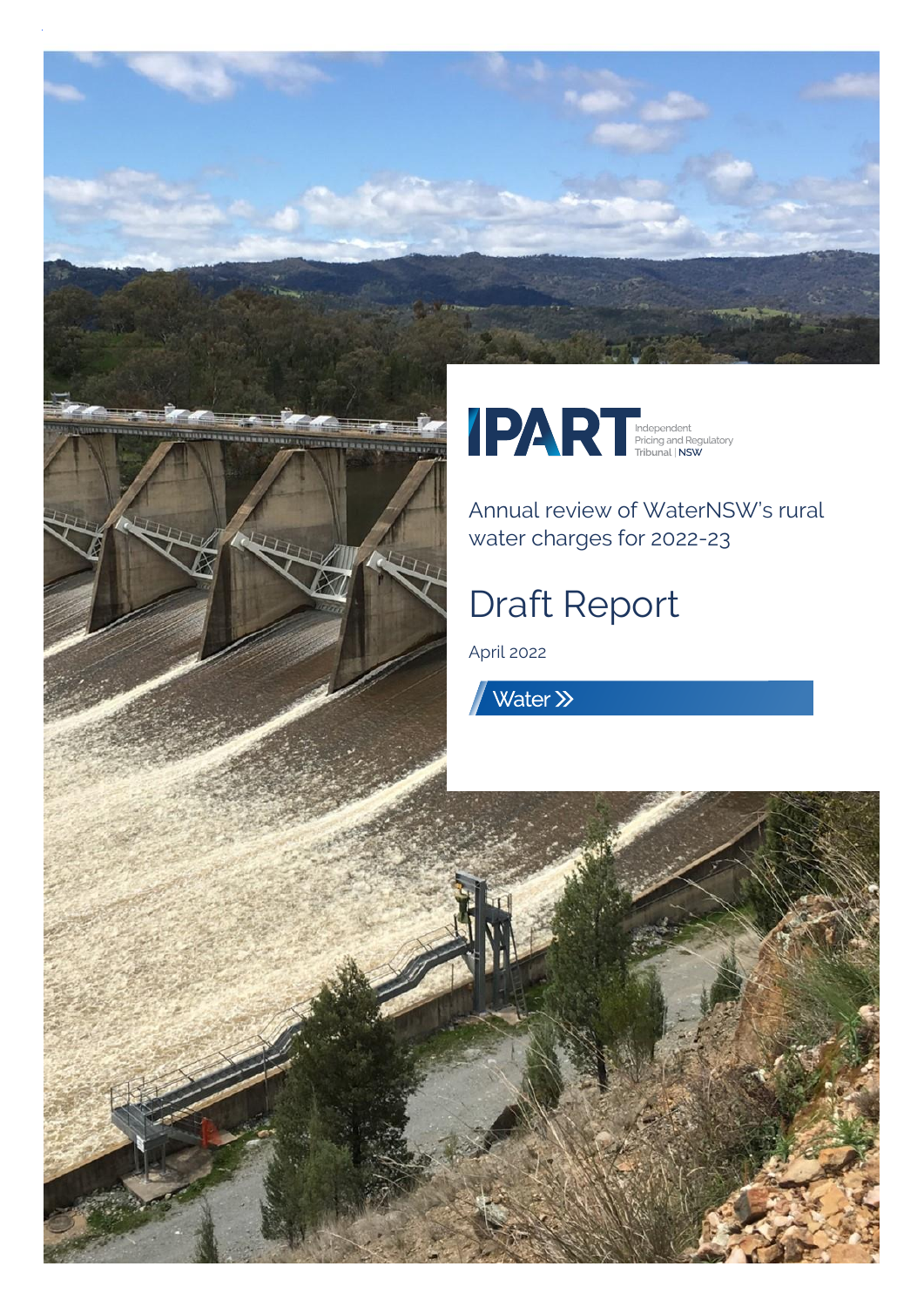



Annual review of WaterNSW's rural water charges for 2022-23

# Draft Report

 $A = \frac{1}{2}$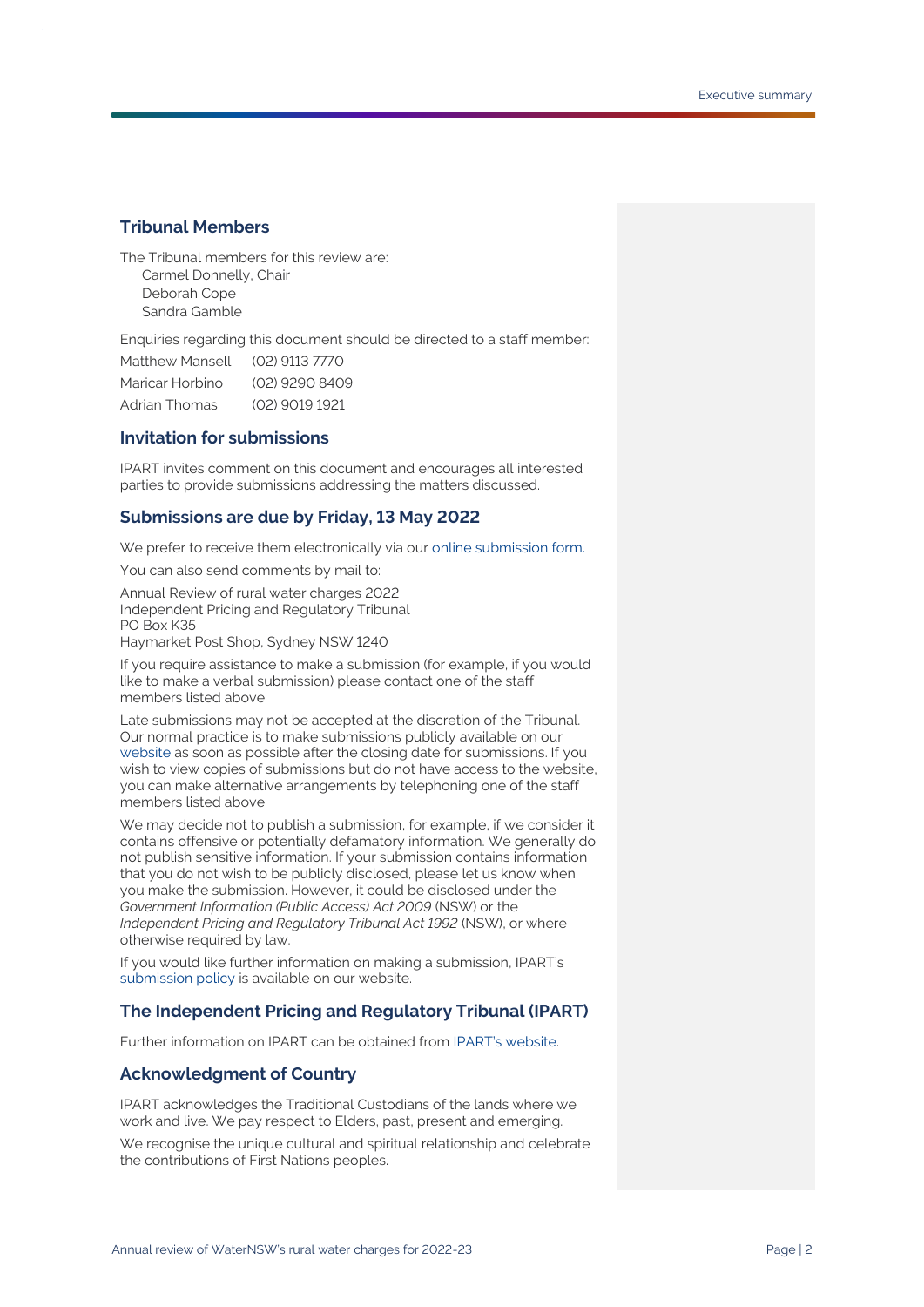#### **Tribunal Members**

The Tribunal members for this review are: Carmel Donnelly, Chair Deborah Cope Sandra Gamble

Enquiries regarding this document should be directed to a staff member:

| Matthew Mansell | (02) 9113 7770 |
|-----------------|----------------|
| Maricar Horbino | (02) 9290 8409 |
| Adrian Thomas   | (02) 9019 1921 |

#### **Invitation for submissions**

IPART invites comment on this document and encourages all interested parties to provide submissions addressing the matters discussed.

#### **Submissions are due by Friday, 13 May 2022**

We prefer to receive them electronically via ou[r online submission form.](https://www.ipart.nsw.gov.au/Home/Reviews/Have-Your-Say-Open-Consultations?review_status=911)

You can also send comments by mail to:

Annual Review of rural water charges 2022 Independent Pricing and Regulatory Tribunal PO Box K35 Haymarket Post Shop, Sydney NSW 1240

If you require assistance to make a submission (for example, if you would like to make a verbal submission) please contact one of the staff members listed above.

Late submissions may not be accepted at the discretion of the Tribunal. Our normal practice is to make submissions publicly available on our [website](http://www.ipart.nsw.gov.au/) as soon as possible after the closing date for submissions. If you wish to view copies of submissions but do not have access to the website, you can make alternative arrangements by telephoning one of the staff members listed above.

We may decide not to publish a submission, for example, if we consider it contains offensive or potentially defamatory information. We generally do not publish sensitive information. If your submission contains information that you do not wish to be publicly disclosed, please let us know when you make the submission. However, it could be disclosed under the *Government Information (Public Access) Act 2009* (NSW) or the *Independent Pricing and Regulatory Tribunal Act 1992* (NSW), or where otherwise required by law.

If you would like further information on making a submission, IPART's [submission policy](https://www.ipart.nsw.gov.au/submissions-policy) is available on our website.

#### **The Independent Pricing and Regulatory Tribunal (IPART)**

Further information on IPART can be obtained from [IPART's website.](https://www.ipart.nsw.gov.au/Home)

#### **Acknowledgment of Country**

IPART acknowledges the Traditional Custodians of the lands where we work and live. We pay respect to Elders, past, present and emerging.

We recognise the unique cultural and spiritual relationship and celebrate the contributions of First Nations peoples.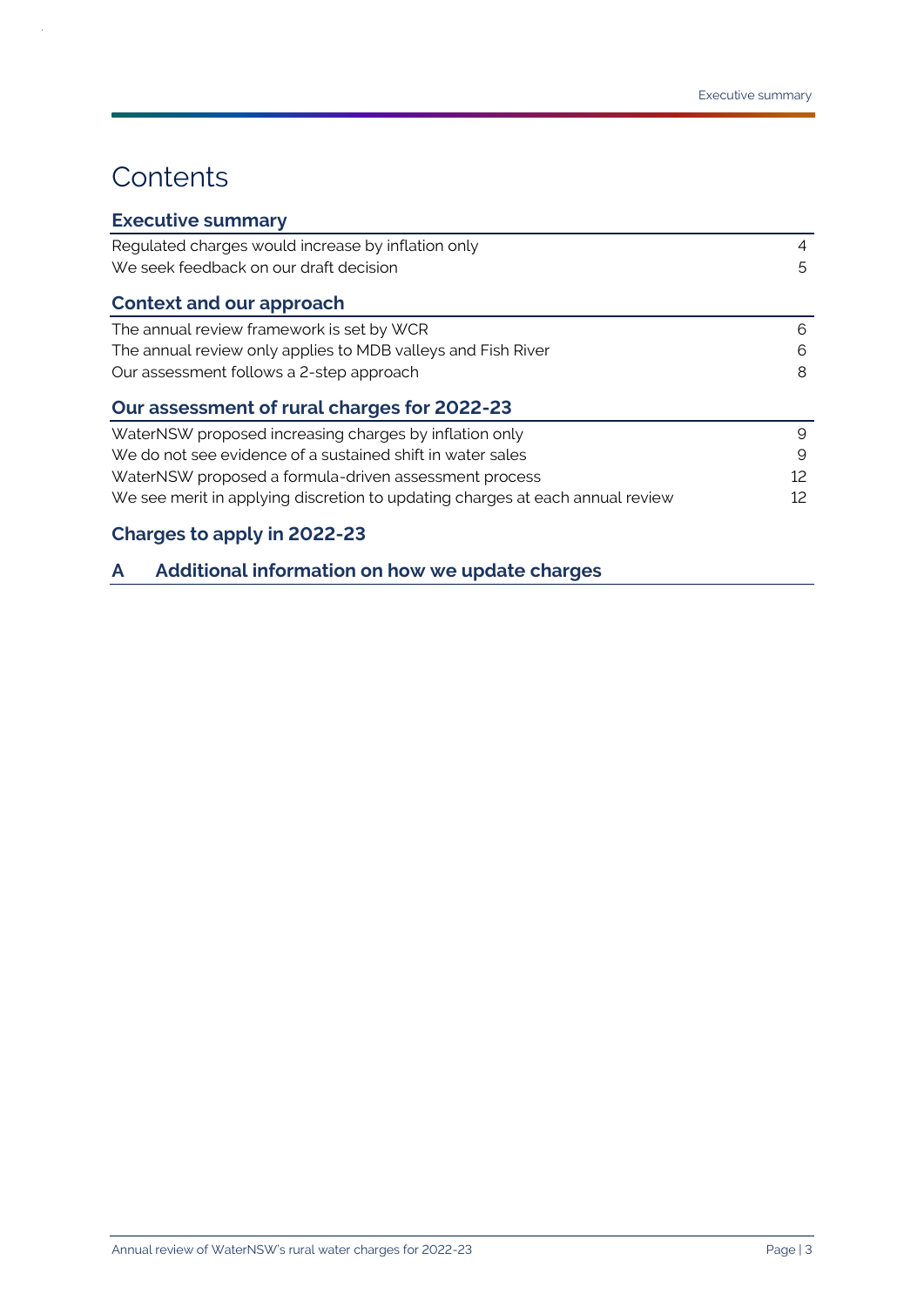## **Contents**

 $\bar{z}$ 

| <b>Executive summary</b>                                                      |    |
|-------------------------------------------------------------------------------|----|
| Regulated charges would increase by inflation only                            | 4  |
| We seek feedback on our draft decision                                        | 5  |
| <b>Context and our approach</b>                                               |    |
| The annual review framework is set by WCR                                     | 6  |
| The annual review only applies to MDB valleys and Fish River                  | 6  |
| Our assessment follows a 2-step approach                                      | 8  |
| Our assessment of rural charges for 2022-23                                   |    |
| WaterNSW proposed increasing charges by inflation only                        | 9  |
| We do not see evidence of a sustained shift in water sales                    | 9  |
| WaterNSW proposed a formula-driven assessment process                         | 12 |
| We see merit in applying discretion to updating charges at each annual review | 12 |
|                                                                               |    |

### **[Charges to apply in 2022-23](#page-12-0)**

**A [Additional information on how we update charges](#page-13-0)**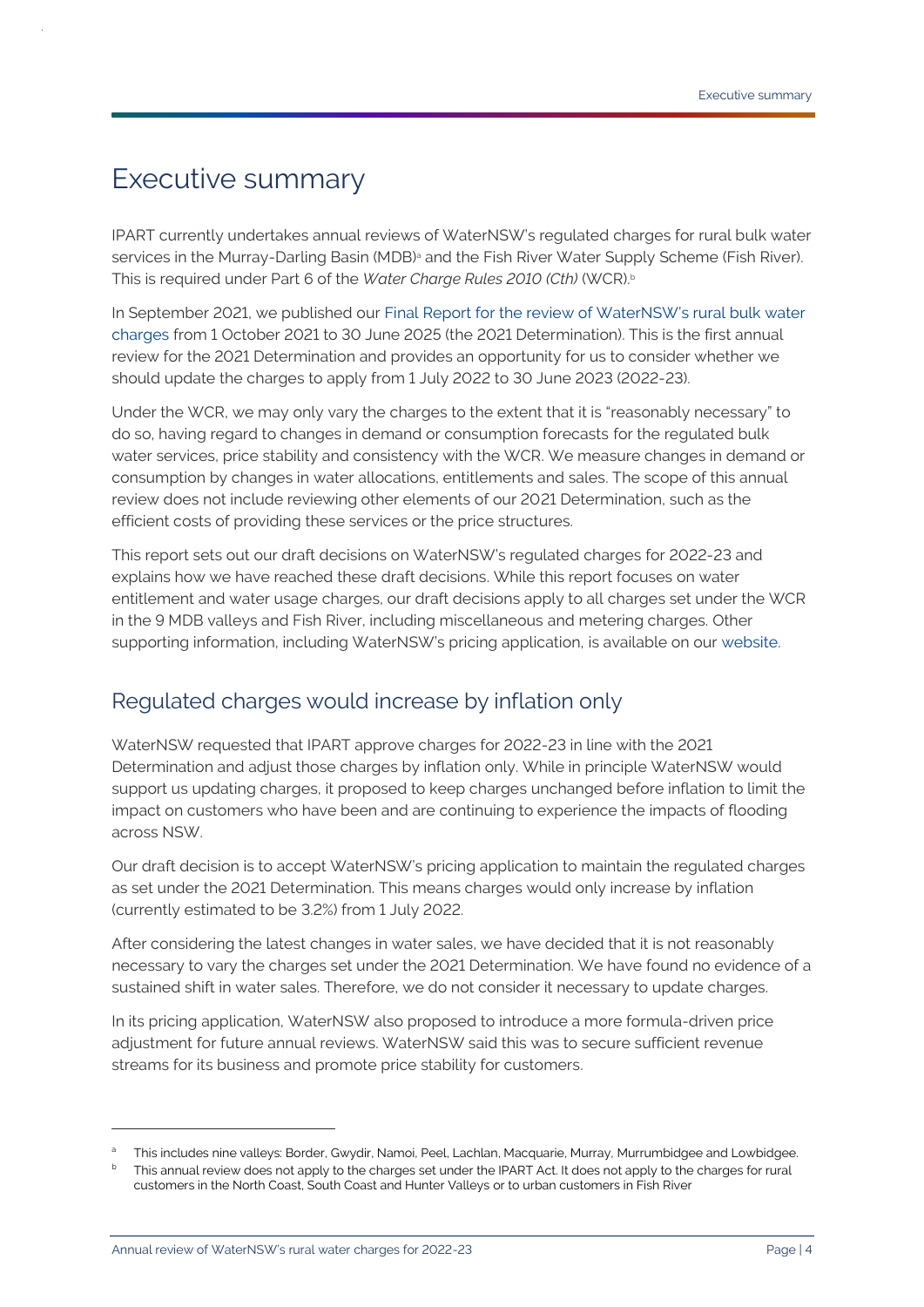## <span id="page-3-0"></span>Executive summary

IPART currently undertakes annual reviews of WaterNSW's regulated charges for rural bulk water services in the Murray-Darling Basin (MDB)<sup>a</sup> and the Fish River Water Supply Scheme (Fish River). This is required under Part 6 of the *Water Charge Rules 2010 (Cth)* (WCR). b

In September 2021, we published our [Final Report for the review of WaterNSW's rural bulk water](https://www.ipart.nsw.gov.au/documents/final-report/final-report-review-water-nsws-rural-bulk-water-prices-september-2021?timeline_id=6913)  [charges](https://www.ipart.nsw.gov.au/documents/final-report/final-report-review-water-nsws-rural-bulk-water-prices-september-2021?timeline_id=6913) from 1 October 2021 to 30 June 2025 (the 2021 Determination). This is the first annual review for the 2021 Determination and provides an opportunity for us to consider whether we should update the charges to apply from 1 July 2022 to 30 June 2023 (2022-23).

Under the WCR, we may only vary the charges to the extent that it is "reasonably necessary" to do so, having regard to changes in demand or consumption forecasts for the regulated bulk water services, price stability and consistency with the WCR. We measure changes in demand or consumption by changes in water allocations, entitlements and sales. The scope of this annual review does not include reviewing other elements of our 2021 Determination, such as the efficient costs of providing these services or the price structures.

This report sets out our draft decisions on WaterNSW's regulated charges for 2022-23 and explains how we have reached these draft decisions. While this report focuses on water entitlement and water usage charges, our draft decisions apply to all charges set under the WCR in the 9 MDB valleys and Fish River, including miscellaneous and metering charges. Other supporting information, including WaterNSW's pricing application, is available on our website.

## <span id="page-3-1"></span>Regulated charges would increase by inflation only

WaterNSW requested that IPART approve charges for 2022-23 in line with the 2021 Determination and adjust those charges by inflation only. While in principle WaterNSW would support us updating charges, it proposed to keep charges unchanged before inflation to limit the impact on customers who have been and are continuing to experience the impacts of flooding across NSW.

Our draft decision is to accept WaterNSW's pricing application to maintain the regulated charges as set under the 2021 Determination. This means charges would only increase by inflation (currently estimated to be 3.2%) from 1 July 2022.

After considering the latest changes in water sales, we have decided that it is not reasonably necessary to vary the charges set under the 2021 Determination. We have found no evidence of a sustained shift in water sales. Therefore, we do not consider it necessary to update charges.

In its pricing application, WaterNSW also proposed to introduce a more formula-driven price adjustment for future annual reviews. WaterNSW said this was to secure sufficient revenue streams for its business and promote price stability for customers.

<sup>a</sup> This includes nine valleys: Border, Gwydir, Namoi, Peel, Lachlan, Macquarie, Murray, Murrumbidgee and Lowbidgee.

This annual review does not apply to the charges set under the IPART Act. It does not apply to the charges for rural customers in the North Coast, South Coast and Hunter Valleys or to urban customers in Fish River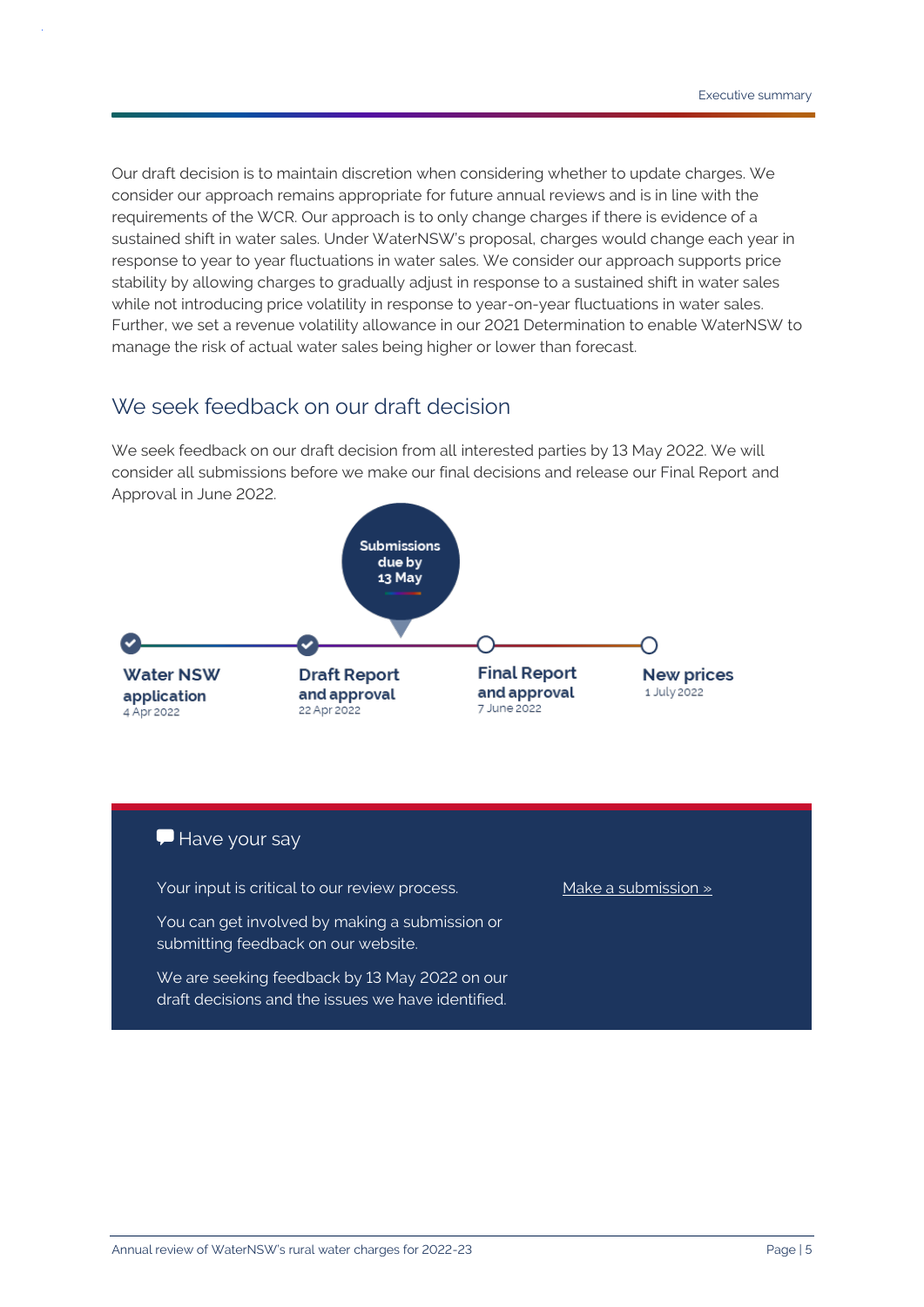Our draft decision is to maintain discretion when considering whether to update charges. We consider our approach remains appropriate for future annual reviews and is in line with the requirements of the WCR. Our approach is to only change charges if there is evidence of a sustained shift in water sales. Under WaterNSW's proposal, charges would change each year in response to year to year fluctuations in water sales. We consider our approach supports price stability by allowing charges to gradually adjust in response to a sustained shift in water sales while not introducing price volatility in response to year-on-year fluctuations in water sales. Further, we set a revenue volatility allowance in our 2021 Determination to enable WaterNSW to manage the risk of actual water sales being higher or lower than forecast.

### <span id="page-4-0"></span>We seek feedback on our draft decision

We seek feedback on our draft decision from all interested parties by 13 May 2022. We will consider all submissions before we make our final decisions and release our Final Report and Approval in June 2022.



#### Have your say

Your input is critical to our review process.

You can get involved by making a submission or submitting feedback on our website.

We are seeking feedback by 13 May 2022 on our draft decisions and the issues we have identified.

[Make a submission »](https://www.ipart.nsw.gov.au/node/1720)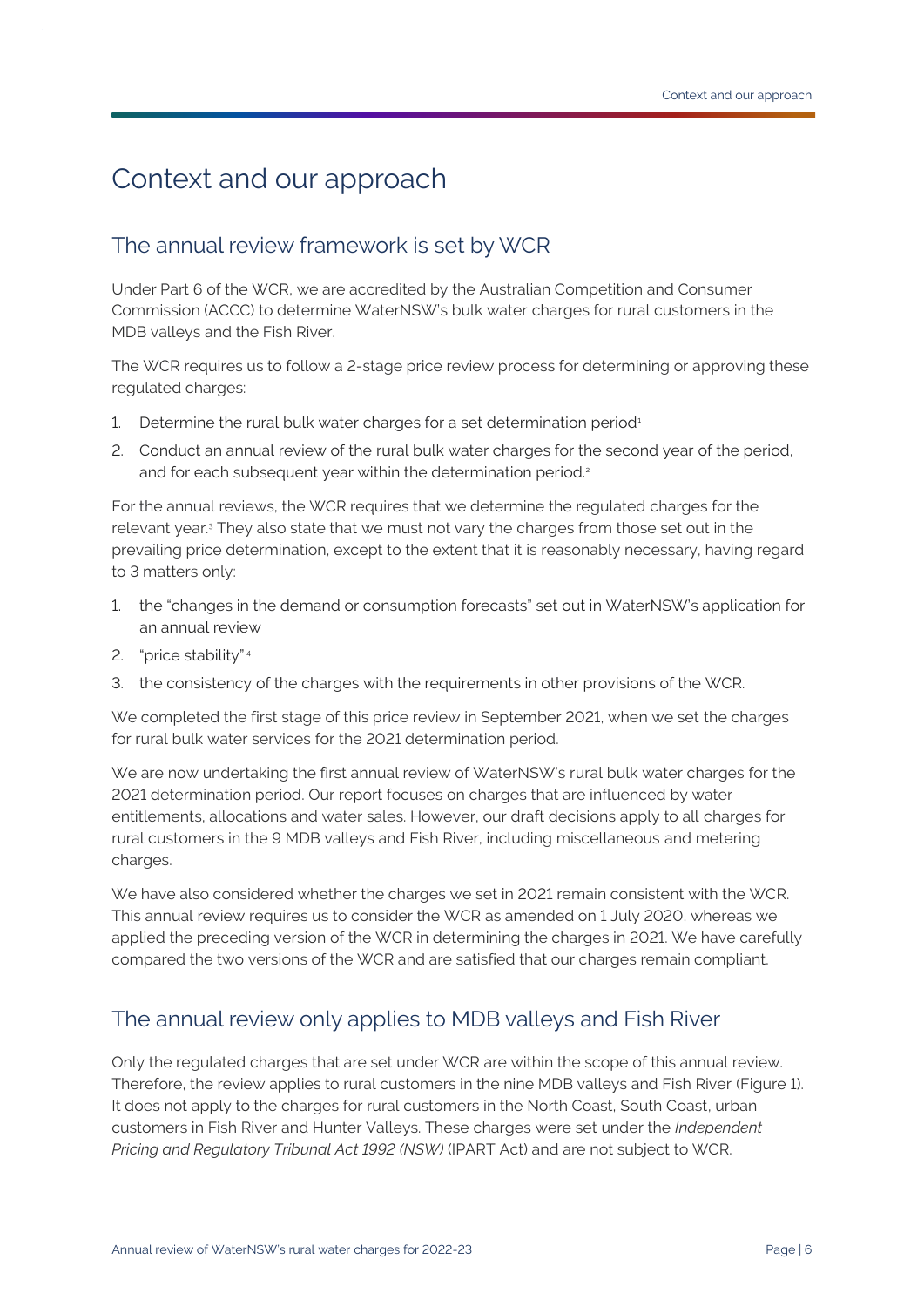## <span id="page-5-0"></span>Context and our approach

## <span id="page-5-1"></span>The annual review framework is set by WCR

Under Part 6 of the WCR, we are accredited by the Australian Competition and Consumer Commission (ACCC) to determine WaterNSW's bulk water charges for rural customers in the MDB valleys and the Fish River.

The WCR requires us to follow a 2-stage price review process for determining or approving these regulated charges:

- 1. Determine the rural bulk water charges for a set determination period<sup>1</sup>
- 2. Conduct an annual review of the rural bulk water charges for the second year of the period, and for each subsequent year within the determination period.<sup>2</sup>

For the annual reviews, the WCR requires that we determine the regulated charges for the relevant year.<sup>3</sup> They also state that we must not vary the charges from those set out in the prevailing price determination, except to the extent that it is reasonably necessary, having regard to 3 matters only:

- 1. the "changes in the demand or consumption forecasts" set out in WaterNSW's application for an annual review
- 2. "price stability" <sup>4</sup>
- 3. the consistency of the charges with the requirements in other provisions of the WCR.

We completed the first stage of this price review in September 2021, when we set the charges for rural bulk water services for the 2021 determination period.

We are now undertaking the first annual review of WaterNSW's rural bulk water charges for the 2021 determination period. Our report focuses on charges that are influenced by water entitlements, allocations and water sales. However, our draft decisions apply to all charges for rural customers in the 9 MDB valleys and Fish River, including miscellaneous and metering charges.

We have also considered whether the charges we set in 2021 remain consistent with the WCR. This annual review requires us to consider the WCR as amended on 1 July 2020, whereas we applied the preceding version of the WCR in determining the charges in 2021. We have carefully compared the two versions of the WCR and are satisfied that our charges remain compliant.

## <span id="page-5-2"></span>The annual review only applies to MDB valleys and Fish River

Only the regulated charges that are set under WCR are within the scope of this annual review. Therefore, the review applies to rural customers in the nine MDB valleys and Fish River (Figure 1). It does not apply to the charges for rural customers in the North Coast, South Coast, urban customers in Fish River and Hunter Valleys. These charges were set under the *Independent Pricing and Regulatory Tribunal Act 1992 (NSW)* (IPART Act) and are not subject to WCR.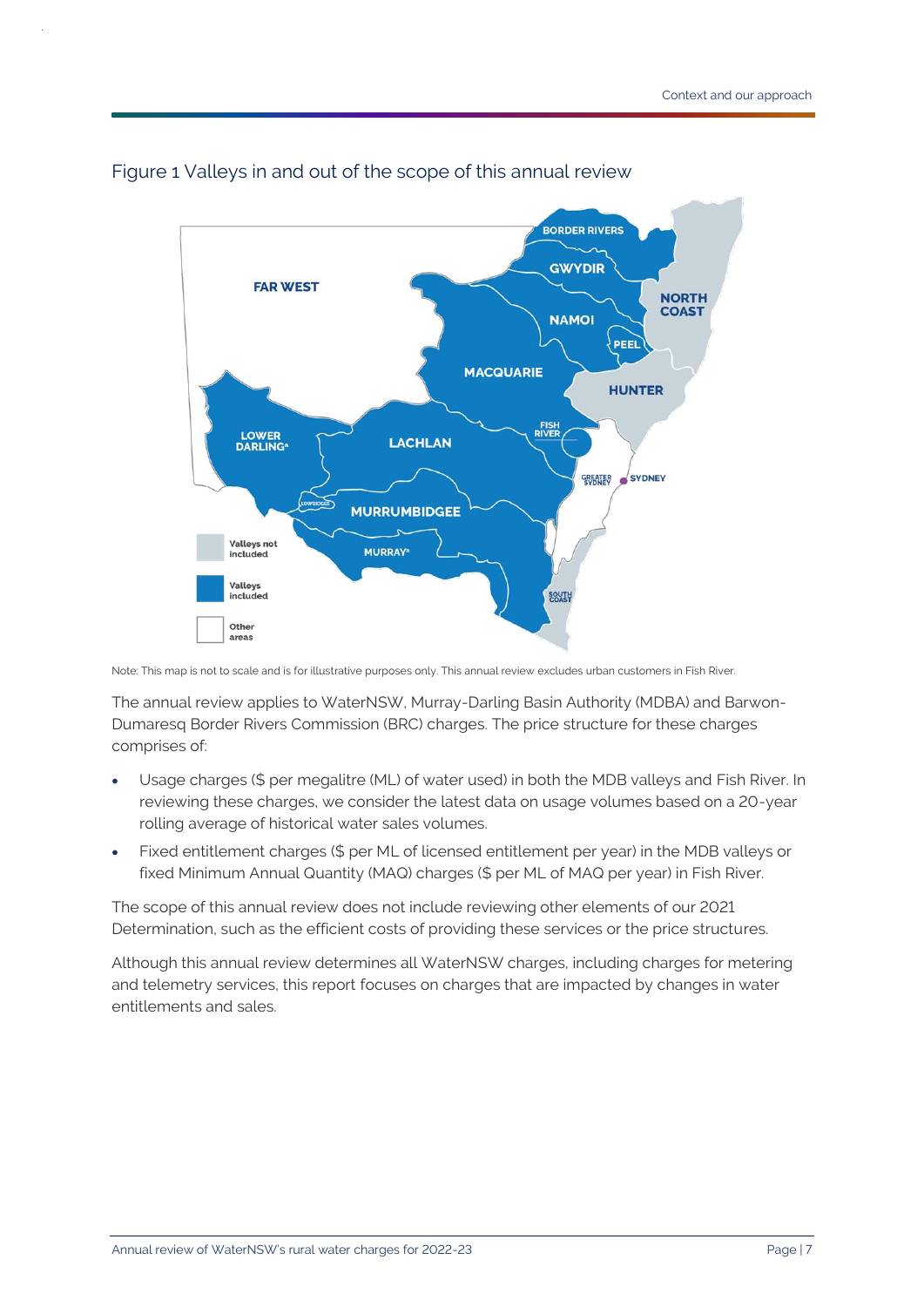

#### Figure 1 Valleys in and out of the scope of this annual review

Note: This map is not to scale and is for illustrative purposes only. This annual review excludes urban customers in Fish River.

The annual review applies to WaterNSW, Murray-Darling Basin Authority (MDBA) and Barwon-Dumaresq Border Rivers Commission (BRC) charges. The price structure for these charges comprises of:

- Usage charges (\$ per megalitre (ML) of water used) in both the MDB valleys and Fish River. In reviewing these charges, we consider the latest data on usage volumes based on a 20-year rolling average of historical water sales volumes.
- Fixed entitlement charges (\$ per ML of licensed entitlement per year) in the MDB valleys or fixed Minimum Annual Quantity (MAQ) charges (\$ per ML of MAQ per year) in Fish River.

The scope of this annual review does not include reviewing other elements of our 2021 Determination, such as the efficient costs of providing these services or the price structures.

Although this annual review determines all WaterNSW charges, including charges for metering and telemetry services, this report focuses on charges that are impacted by changes in water entitlements and sales.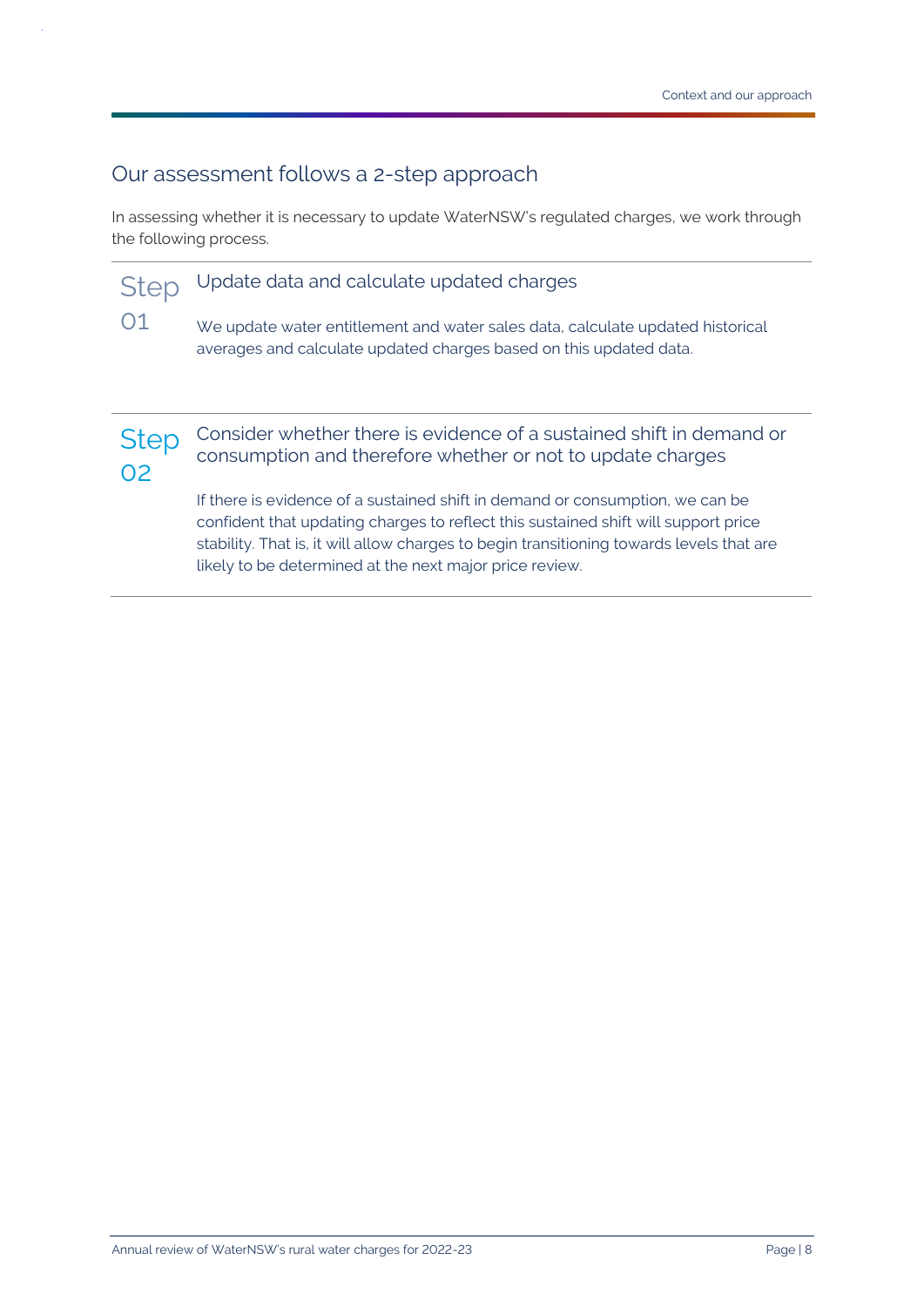### <span id="page-7-0"></span>Our assessment follows a 2-step approach

In assessing whether it is necessary to update WaterNSW's regulated charges, we work through the following process.

#### **Step** Update data and calculate updated charges

01 We update water entitlement and water sales data, calculate updated historical averages and calculate updated charges based on this updated data.



Consider whether there is evidence of a sustained shift in demand or consumption and therefore whether or not to update charges

If there is evidence of a sustained shift in demand or consumption, we can be confident that updating charges to reflect this sustained shift will support price stability. That is, it will allow charges to begin transitioning towards levels that are likely to be determined at the next major price review.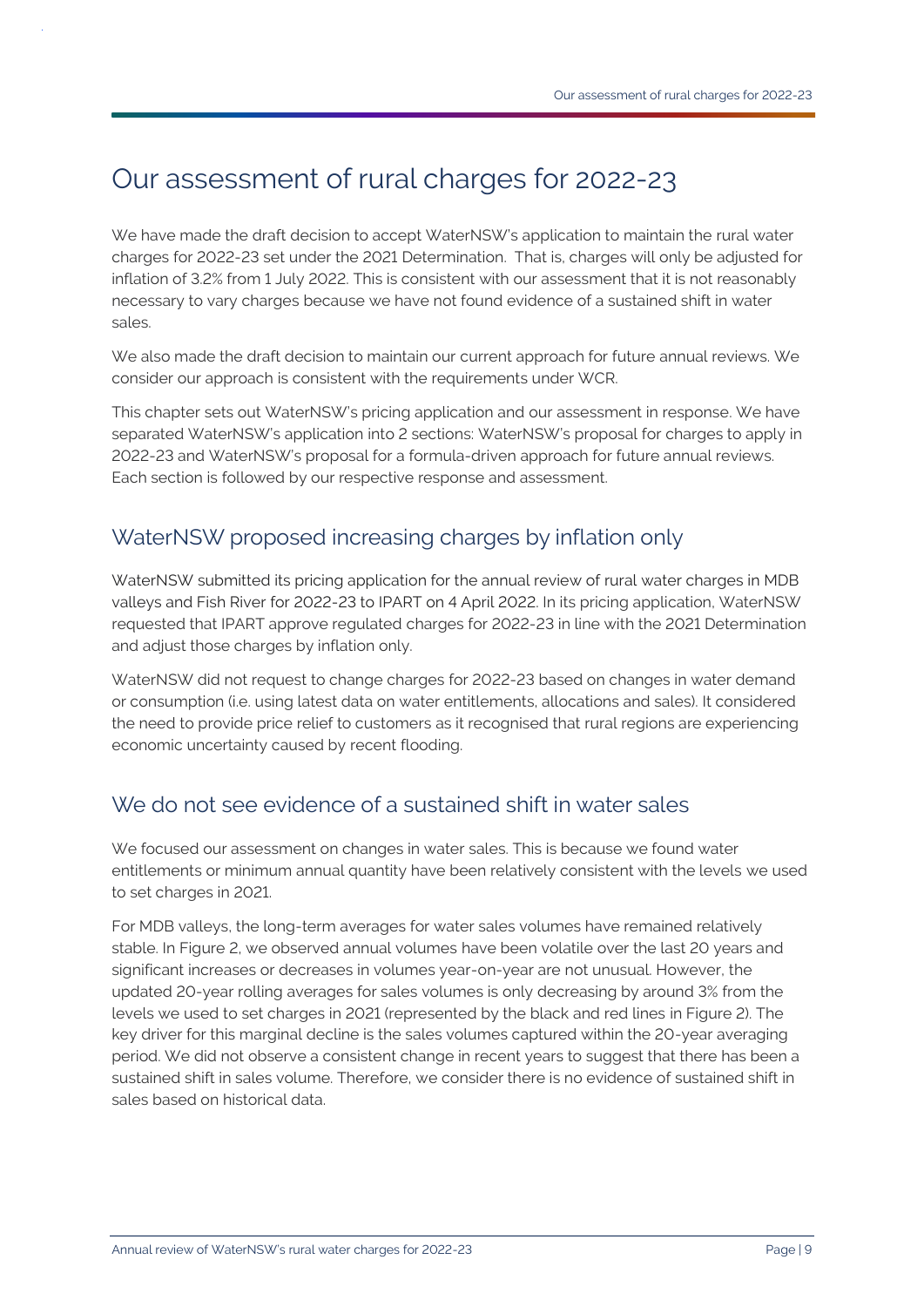## <span id="page-8-0"></span>Our assessment of rural charges for 2022-23

We have made the draft decision to accept WaterNSW's application to maintain the rural water charges for 2022-23 set under the 2021 Determination. That is, charges will only be adjusted for inflation of 3.2% from 1 July 2022. This is consistent with our assessment that it is not reasonably necessary to vary charges because we have not found evidence of a sustained shift in water sales.

We also made the draft decision to maintain our current approach for future annual reviews. We consider our approach is consistent with the requirements under WCR.

This chapter sets out WaterNSW's pricing application and our assessment in response. We have separated WaterNSW's application into 2 sections: WaterNSW's proposal for charges to apply in 2022-23 and WaterNSW's proposal for a formula-driven approach for future annual reviews. Each section is followed by our respective response and assessment.

## <span id="page-8-1"></span>WaterNSW proposed increasing charges by inflation only

WaterNSW submitted its pricing application for the annual review of rural water charges in MDB valleys and Fish River for 2022-23 to IPART on 4 April 2022. In its pricing application, WaterNSW requested that IPART approve regulated charges for 2022-23 in line with the 2021 Determination and adjust those charges by inflation only.

WaterNSW did not request to change charges for 2022-23 based on changes in water demand or consumption (i.e. using latest data on water entitlements, allocations and sales). It considered the need to provide price relief to customers as it recognised that rural regions are experiencing economic uncertainty caused by recent flooding.

## <span id="page-8-2"></span>We do not see evidence of a sustained shift in water sales

We focused our assessment on changes in water sales. This is because we found water entitlements or minimum annual quantity have been relatively consistent with the levels we used to set charges in 2021.

For MDB valleys, the long-term averages for water sales volumes have remained relatively stable. I[n Figure 2,](#page-9-0) we observed annual volumes have been volatile over the last 20 years and significant increases or decreases in volumes year-on-year are not unusual. However, the updated 20-year rolling averages for sales volumes is only decreasing by around 3% from the levels we used to set charges in 2021 (represented by the black and red lines in [Figure 2\)](#page-9-0). The key driver for this marginal decline is the sales volumes captured within the 20-year averaging period. We did not observe a consistent change in recent years to suggest that there has been a sustained shift in sales volume. Therefore, we consider there is no evidence of sustained shift in sales based on historical data.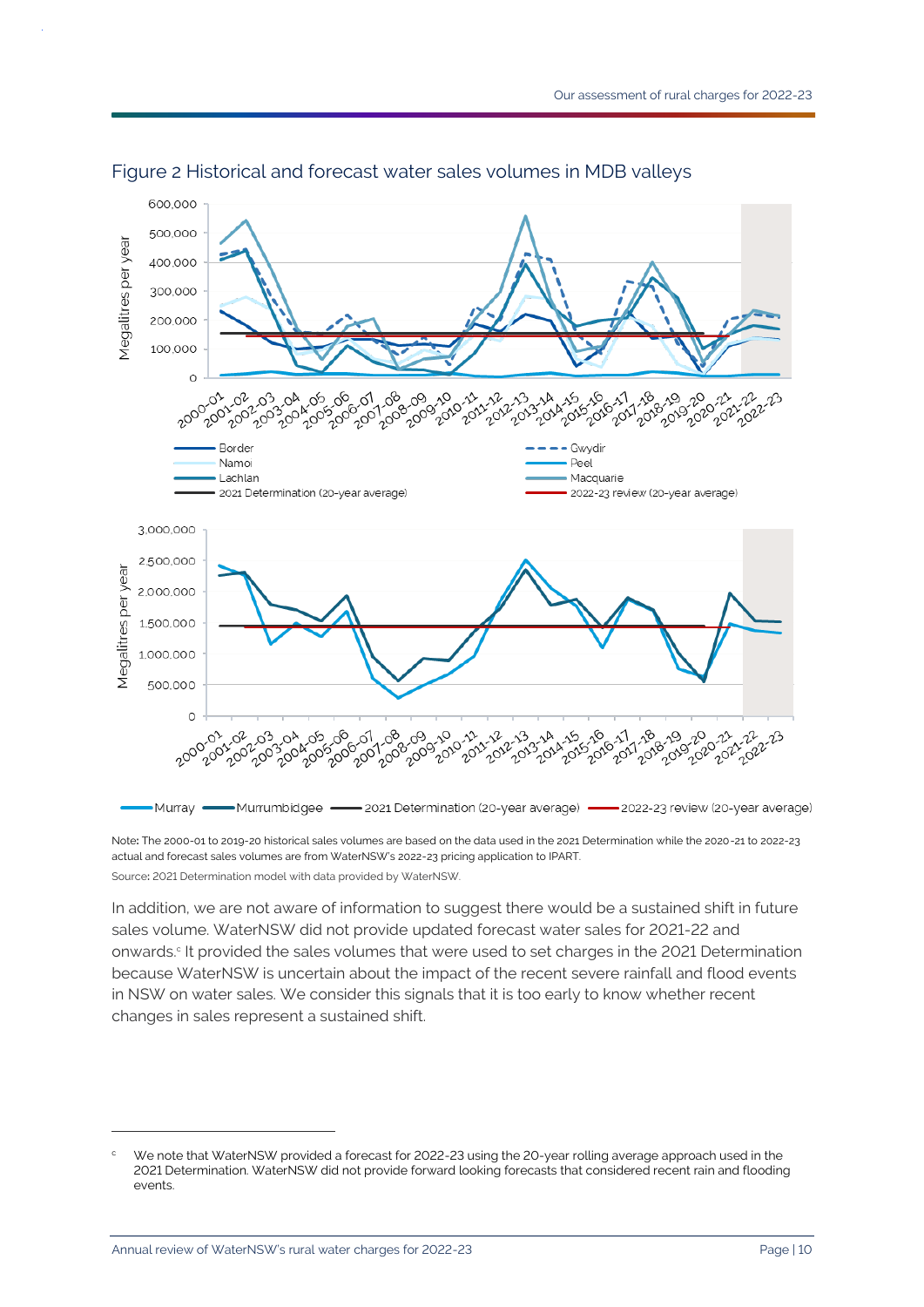

#### <span id="page-9-0"></span>Figure 2 Historical and forecast water sales volumes in MDB valleys

Note**:** The 2000-01 to 2019-20 historical sales volumes are based on the data used in the 2021 Determination while the 2020-21 to 2022-23 actual and forecast sales volumes are from WaterNSW's 2022-23 pricing application to IPART. Source**:** 2021 Determination model with data provided by WaterNSW.

In addition, we are not aware of information to suggest there would be a sustained shift in future sales volume. WaterNSW did not provide updated forecast water sales for 2021-22 and onwards. c It provided the sales volumes that were used to set charges in the 2021 Determination because WaterNSW is uncertain about the impact of the recent severe rainfall and flood events in NSW on water sales. We consider this signals that it is too early to know whether recent changes in sales represent a sustained shift.

We note that WaterNSW provided a forecast for 2022-23 using the 20-year rolling average approach used in the 2021 Determination. WaterNSW did not provide forward looking forecasts that considered recent rain and flooding events.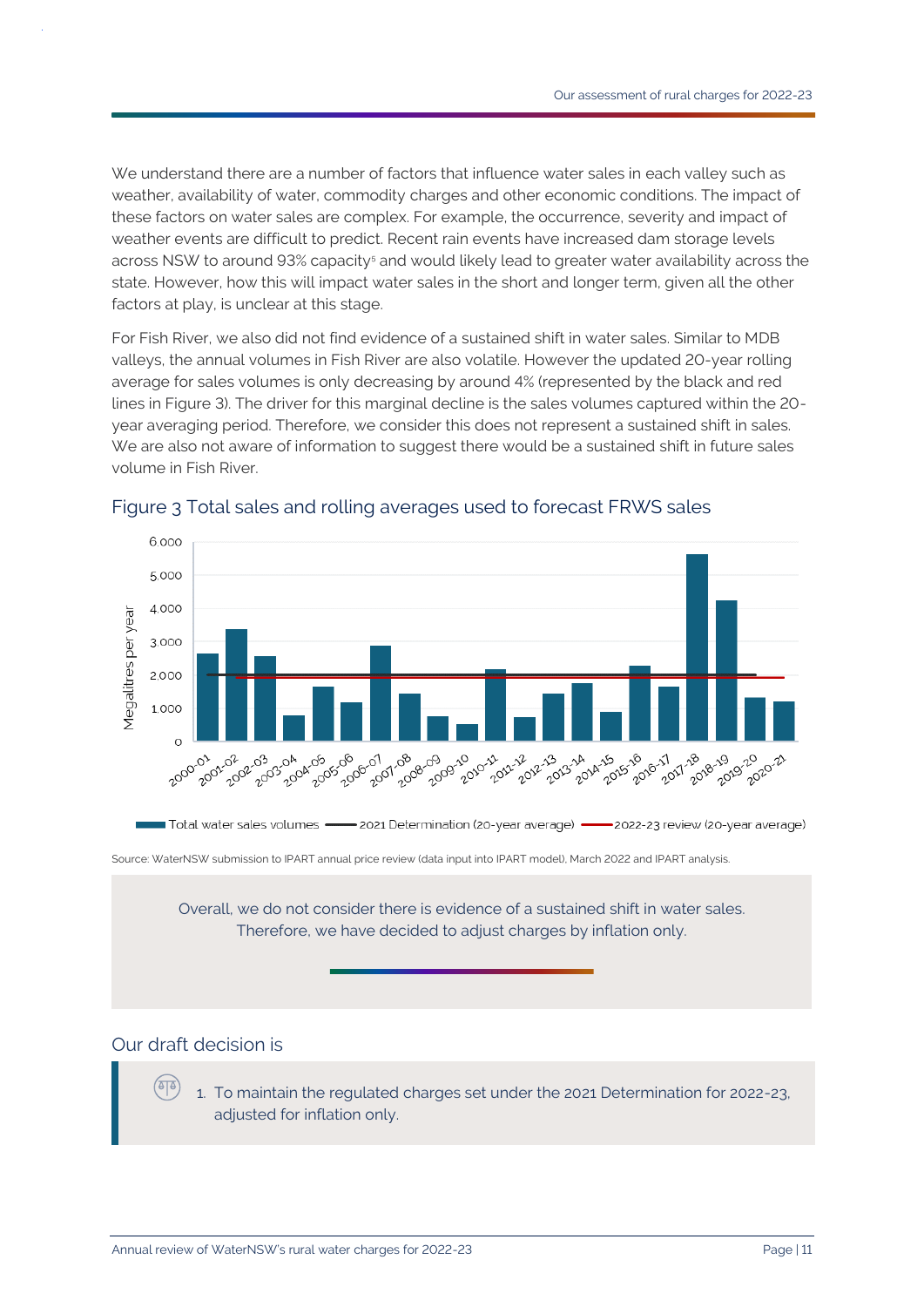We understand there are a number of factors that influence water sales in each valley such as weather, availability of water, commodity charges and other economic conditions. The impact of these factors on water sales are complex. For example, the occurrence, severity and impact of weather events are difficult to predict. Recent rain events have increased dam storage levels across NSW to around 93% capacity<sup>5</sup> and would likely lead to greater water availability across the state. However, how this will impact water sales in the short and longer term, given all the other factors at play, is unclear at this stage.

For Fish River, we also did not find evidence of a sustained shift in water sales. Similar to MDB valleys, the annual volumes in Fish River are also volatile. However the updated 20-year rolling average for sales volumes is only decreasing by around 4% (represented by the black and red lines in [Figure 3\)](#page-10-0). The driver for this marginal decline is the sales volumes captured within the 20 year averaging period. Therefore, we consider this does not represent a sustained shift in sales. We are also not aware of information to suggest there would be a sustained shift in future sales volume in Fish River.



#### <span id="page-10-0"></span>Figure 3 Total sales and rolling averages used to forecast FRWS sales

Source: WaterNSW submission to IPART annual price review (data input into IPART model), March 2022 and IPART analysis.

Overall, we do not consider there is evidence of a sustained shift in water sales. Therefore, we have decided to adjust charges by inflation only.

### Our draft decision is

(ठाठ

1. To maintain the regulated charges set under the 2021 Determination for 2022-23, adjusted for inflation only.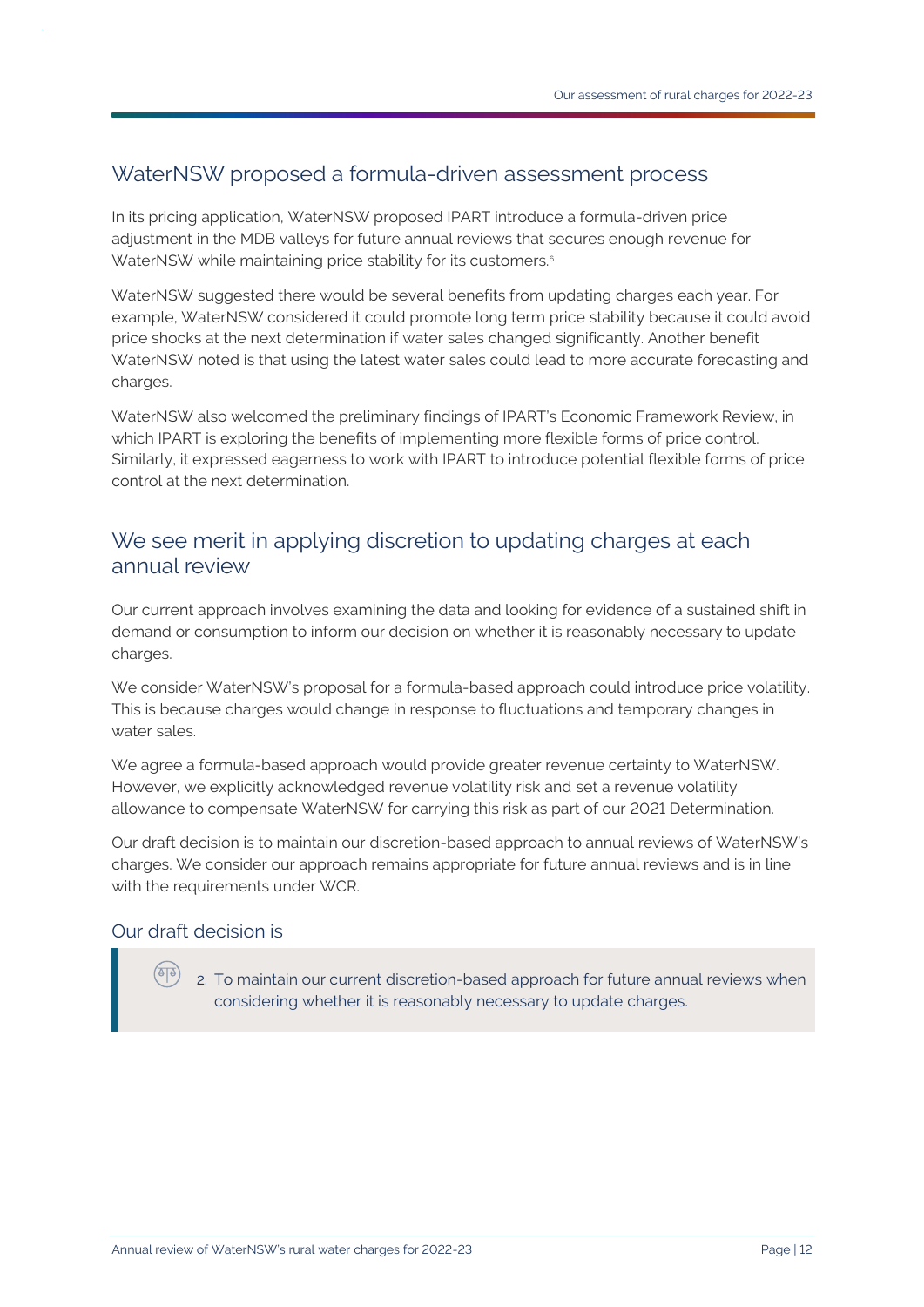## <span id="page-11-0"></span>WaterNSW proposed a formula-driven assessment process

In its pricing application, WaterNSW proposed IPART introduce a formula-driven price adjustment in the MDB valleys for future annual reviews that secures enough revenue for WaterNSW while maintaining price stability for its customers.<sup>6</sup>

WaterNSW suggested there would be several benefits from updating charges each year. For example, WaterNSW considered it could promote long term price stability because it could avoid price shocks at the next determination if water sales changed significantly. Another benefit WaterNSW noted is that using the latest water sales could lead to more accurate forecasting and charges.

WaterNSW also welcomed the preliminary findings of IPART's Economic Framework Review, in which IPART is exploring the benefits of implementing more flexible forms of price control. Similarly, it expressed eagerness to work with IPART to introduce potential flexible forms of price control at the next determination.

### <span id="page-11-1"></span>We see merit in applying discretion to updating charges at each annual review

Our current approach involves examining the data and looking for evidence of a sustained shift in demand or consumption to inform our decision on whether it is reasonably necessary to update charges.

We consider WaterNSW's proposal for a formula-based approach could introduce price volatility. This is because charges would change in response to fluctuations and temporary changes in water sales.

We agree a formula-based approach would provide greater revenue certainty to WaterNSW. However, we explicitly acknowledged revenue volatility risk and set a revenue volatility allowance to compensate WaterNSW for carrying this risk as part of our 2021 Determination.

Our draft decision is to maintain our discretion-based approach to annual reviews of WaterNSW's charges. We consider our approach remains appropriate for future annual reviews and is in line with the requirements under WCR.

#### Our draft decision is

2. To maintain our current discretion-based approach for future annual reviews when considering whether it is reasonably necessary to update charges.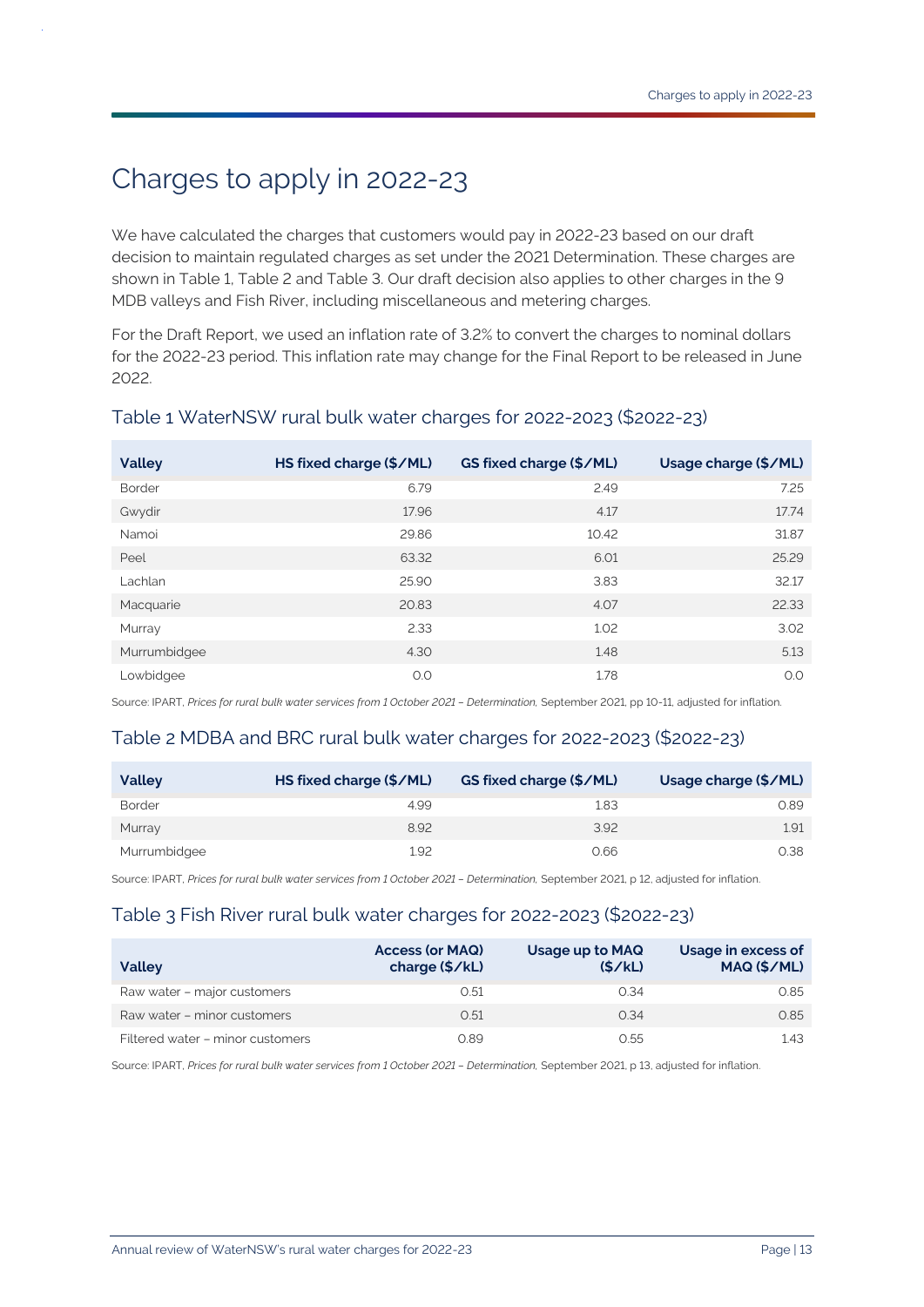## <span id="page-12-0"></span>Charges to apply in 2022-23

We have calculated the charges that customers would pay in 2022-23 based on our draft decision to maintain regulated charges as set under the 2021 Determination. These charges are shown in Table 1, Table 2 and Table 3. Our draft decision also applies to other charges in the 9 MDB valleys and Fish River, including miscellaneous and metering charges.

For the Draft Report, we used an inflation rate of 3.2% to convert the charges to nominal dollars for the 2022-23 period. This inflation rate may change for the Final Report to be released in June 2022.

| <b>Valley</b> | HS fixed charge (\$/ML) | GS fixed charge (\$/ML) | Usage charge (\$/ML) |
|---------------|-------------------------|-------------------------|----------------------|
| <b>Border</b> | 6.79                    | 2.49                    | 7.25                 |
| Gwydir        | 17.96                   | 4.17                    | 17.74                |
| Namoi         | 29.86                   | 10.42                   | 31.87                |
| Peel          | 63.32                   | 6.01                    | 25.29                |
| Lachlan       | 25.90                   | 3.83                    | 32.17                |
| Macquarie     | 20.83                   | 4.07                    | 22.33                |
| Murray        | 2.33                    | 1.02                    | 3.02                 |
| Murrumbidgee  | 4.30                    | 1.48                    | 5.13                 |
| Lowbidgee     | O.O                     | 1.78                    | O.O                  |

#### Table 1 WaterNSW rural bulk water charges for 2022-2023 (\$2022-23)

Source: IPART, *Prices for rural bulk water services from 1 October 2021 – Determination,* September 2021, pp 10-11, adjusted for inflation.

#### Table 2 MDBA and BRC rural bulk water charges for 2022-2023 (\$2022-23)

| <b>Valley</b> | HS fixed charge (\$/ML) | <b>GS fixed charge (\$/ML)</b> | Usage charge (\$/ML) |
|---------------|-------------------------|--------------------------------|----------------------|
| <b>Border</b> | 4.99                    | 1.83                           | 0.89                 |
| Murray        | 8.92                    | 3.92                           | 1.91                 |
| Murrumbidgee  | 1.92                    | 0.66                           | 0.38                 |

Source: IPART, *Prices for rural bulk water services from 1 October 2021 – Determination,* September 2021, p 12, adjusted for inflation.

#### Table 3 Fish River rural bulk water charges for 2022-2023 (\$2022-23)

| <b>Valley</b>                    | <b>Access (or MAQ)</b><br>charge $(\frac{5}{k})$ | Usage up to MAQ<br>(S/KL) | Usage in excess of<br>MAQ (\$/ML) |
|----------------------------------|--------------------------------------------------|---------------------------|-----------------------------------|
| Raw water - major customers      | 0.51                                             | 0.34                      | 0.85                              |
| Raw water - minor customers      | 0.51                                             | 0.34                      | 0.85                              |
| Filtered water - minor customers | 0.89                                             | 0.55                      | 1.43                              |

Source: IPART, *Prices for rural bulk water services from 1 October 2021 – Determination,* September 2021, p 13, adjusted for inflation.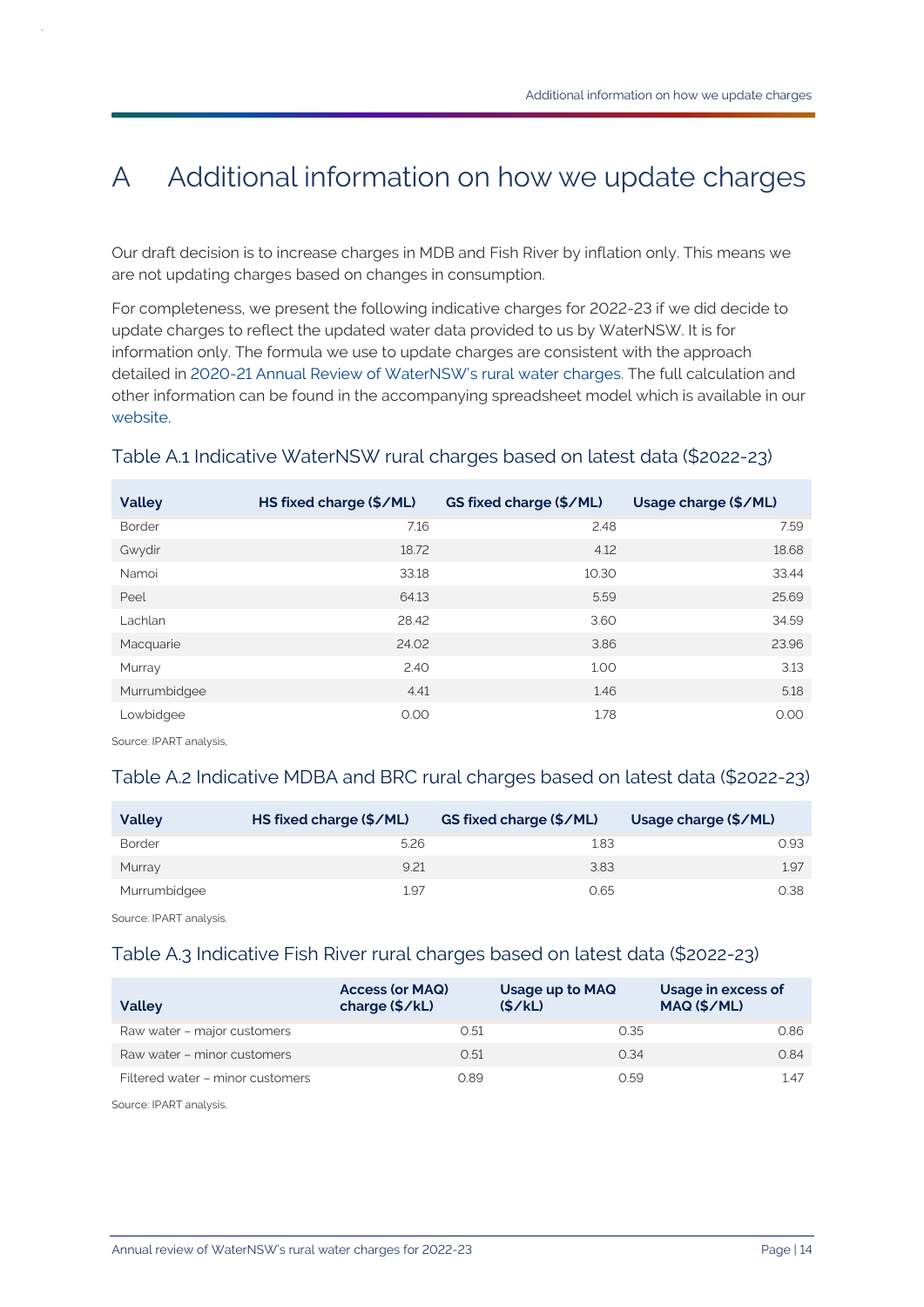## <span id="page-13-0"></span>A Additional information on how we update charges

Our draft decision is to increase charges in MDB and Fish River by inflation only. This means we are not updating charges based on changes in consumption.

For completeness, we present the following indicative charges for 2022-23 if we did decide to update charges to reflect the updated water data provided to us by WaterNSW. It is for information only. The formula we use to update charges are consistent with the approach detailed in [2020-21 Annual Review of WaterNSW's rural water](https://www.ipart.nsw.gov.au/Home/Industries/Water/Reviews/Rural-Water/WaterNSW-Annual-Review-of-rural-bulk-water-charges-for-2020-21/02-Jun-2020-Final-Report/Final-Report-Water-NSW-Annual-review-of-rural-bulk-water-charges-for-2020-21-June-2020?timeline_id=7224) charges. The full calculation and other information can be found in the accompanying spreadsheet model which is available in our [website.](https://www.ipart.nsw.gov.au/node/1720)

| <b>Valley</b> | HS fixed charge (\$/ML) | GS fixed charge (\$/ML) | Usage charge (\$/ML) |
|---------------|-------------------------|-------------------------|----------------------|
| <b>Border</b> | 7.16                    | 2.48                    | 7.59                 |
| Gwydir        | 18.72                   | 4.12                    | 18.68                |
| Namoi         | 33.18                   | 10.30                   | 33.44                |
| Peel          | 64.13                   | 5.59                    | 25.69                |
| Lachlan       | 28.42                   | 3.60                    | 34.59                |
| Macquarie     | 24.02                   | 3.86                    | 23.96                |
| Murray        | 2.40                    | 1.00                    | 3.13                 |
| Murrumbidgee  | 4.41                    | 1.46                    | 5.18                 |
| Lowbidgee     | 0.00                    | 1.78                    | 0.00                 |

#### Table A.1 Indicative WaterNSW rural charges based on latest data (\$2022-23)

Source: IPART analysis,

#### Table A.2 Indicative MDBA and BRC rural charges based on latest data (\$2022-23)

| <b>Valley</b> | HS fixed charge (\$/ML) | GS fixed charge (\$/ML) | Usage charge (\$/ML) |
|---------------|-------------------------|-------------------------|----------------------|
| <b>Border</b> | 5.26                    | 1.83                    | 0.93                 |
| Murray        | 9.21                    | 3.83                    | 1.97                 |
| Murrumbidgee  | 1.97                    | 0.65                    | 0.38                 |

Source: IPART analysis.

#### Table A.3 Indicative Fish River rural charges based on latest data (\$2022-23)

| <b>Valley</b>                    | <b>Access (or MAQ)</b><br>charge (\$/kL) | Usage up to MAQ<br>(S/KL) | Usage in excess of<br>MAQ (\$/ML) |
|----------------------------------|------------------------------------------|---------------------------|-----------------------------------|
| Raw water - major customers      | 0.51                                     | 0.35                      | 0.86                              |
| Raw water - minor customers      | 0.51                                     | 0.34                      | 0.84                              |
| Filtered water - minor customers | 0.89                                     | 0.59                      | 1.47                              |

Source: IPART analysis.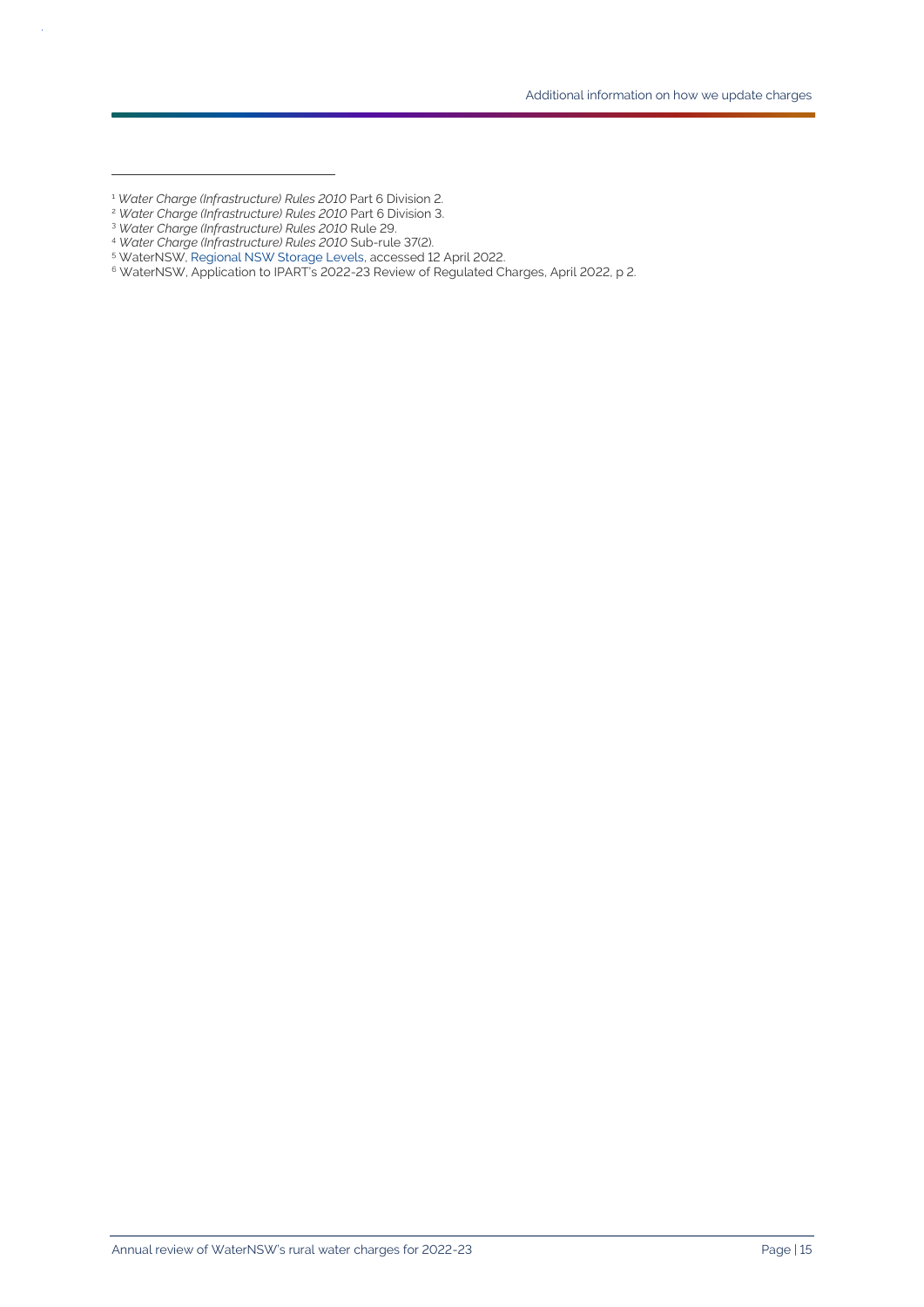<sup>2</sup> *Water Charge (Infrastructure) Rules 2010* Part 6 Division 3.

 $\bar{z}$ 

<sup>1</sup> *Water Charge (Infrastructure) Rules 2010* Part 6 Division 2.

<sup>3</sup> *Water Charge (Infrastructure) Rules 2010* Rule 29.

<sup>4</sup> *Water Charge (Infrastructure) Rules 2010* Sub-rule 37(2).

<sup>5</sup> WaterNSW[, Regional NSW Storage Levels,](https://www.waternsw.com.au/supply/regional-nsw/dam-levels) accessed 12 April 2022.

 $^6$  WaterNSW, Application to IPART's 2022-23 Review of Regulated Charges, April 2022, p 2.  $\,$